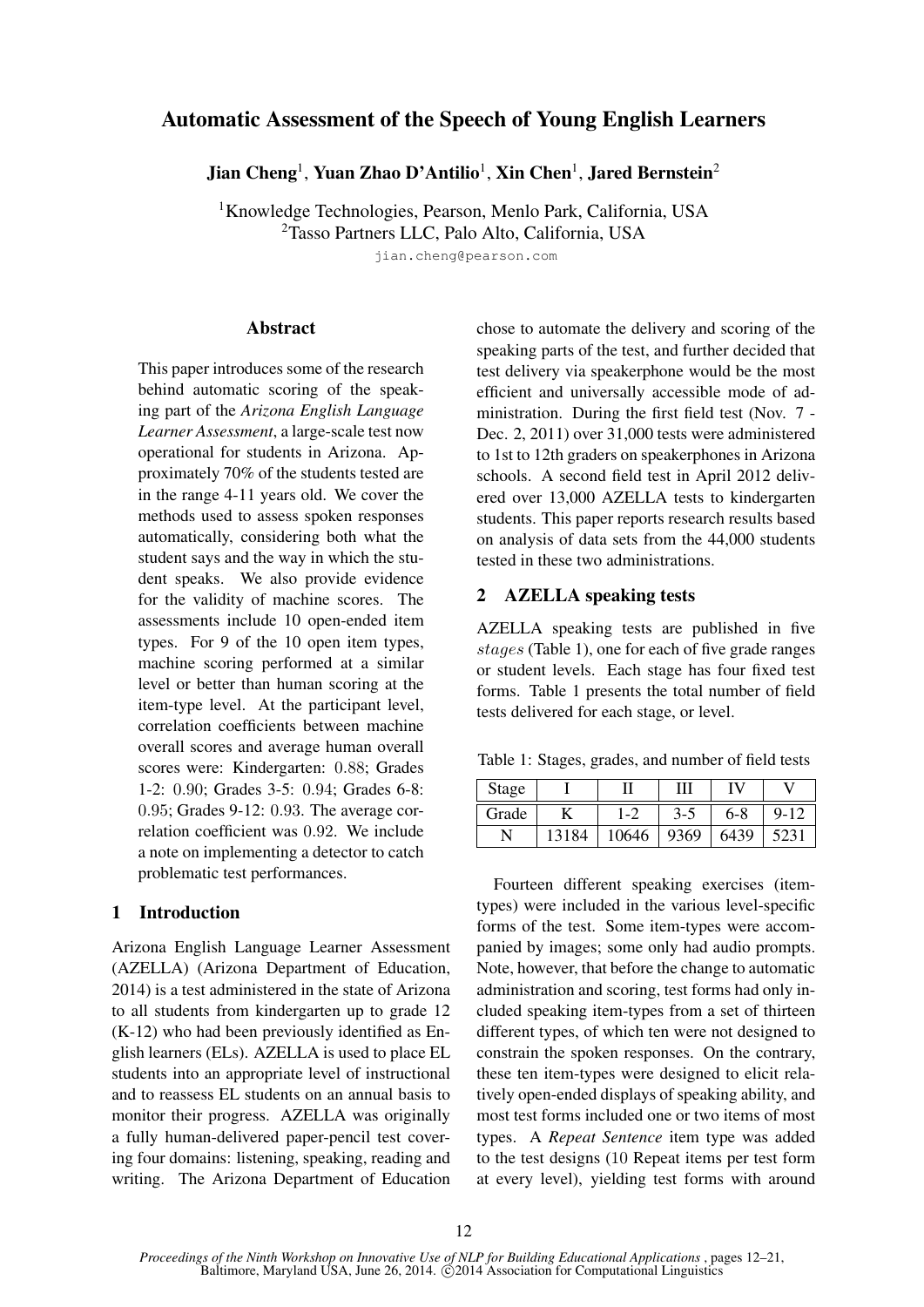# Automatic Assessment of the Speech of Young English Learners

Jian Cheng<sup>1</sup>, Yuan Zhao D'Antilio<sup>1</sup>, Xin Chen<sup>1</sup>, Jared Bernstein<sup>2</sup>

<sup>1</sup>Knowledge Technologies, Pearson, Menlo Park, California, USA <sup>2</sup>Tasso Partners LLC, Palo Alto, California, USA

jian.cheng@pearson.com

### **Abstract**

This paper introduces some of the research behind automatic scoring of the speaking part of the *Arizona English Language Learner Assessment*, a large-scale test now operational for students in Arizona. Approximately 70% of the students tested are in the range 4-11 years old. We cover the methods used to assess spoken responses automatically, considering both what the student says and the way in which the student speaks. We also provide evidence for the validity of machine scores. The assessments include 10 open-ended item types. For 9 of the 10 open item types, machine scoring performed at a similar level or better than human scoring at the item-type level. At the participant level, correlation coefficients between machine overall scores and average human overall scores were: Kindergarten: 0.88; Grades 1-2: 0.90; Grades 3-5: 0.94; Grades 6-8: 0.95; Grades 9-12: 0.93. The average correlation coefficient was 0.92. We include a note on implementing a detector to catch problematic test performances.

# 1 Introduction

Arizona English Language Learner Assessment (AZELLA) (Arizona Department of Education, 2014) is a test administered in the state of Arizona to all students from kindergarten up to grade 12 (K-12) who had been previously identified as English learners (ELs). AZELLA is used to place EL students into an appropriate level of instructional and to reassess EL students on an annual basis to monitor their progress. AZELLA was originally a fully human-delivered paper-pencil test covering four domains: listening, speaking, reading and writing. The Arizona Department of Education chose to automate the delivery and scoring of the speaking parts of the test, and further decided that test delivery via speakerphone would be the most efficient and universally accessible mode of administration. During the first field test (Nov. 7 - Dec. 2, 2011) over 31,000 tests were administered to 1st to 12th graders on speakerphones in Arizona schools. A second field test in April 2012 delivered over 13,000 AZELLA tests to kindergarten students. This paper reports research results based on analysis of data sets from the 44,000 students tested in these two administrations.

# 2 AZELLA speaking tests

AZELLA speaking tests are published in five stages (Table 1), one for each of five grade ranges or student levels. Each stage has four fixed test forms. Table 1 presents the total number of field tests delivered for each stage, or level.

Table 1: Stages, grades, and number of field tests

| Stage |       |       |       |       |          |
|-------|-------|-------|-------|-------|----------|
| Grade |       | 1-2   | $3-5$ | $6-8$ | $9 - 12$ |
|       | 13184 | 10646 | 9369  | 6439  |          |

Fourteen different speaking exercises (itemtypes) were included in the various level-specific forms of the test. Some item-types were accompanied by images; some only had audio prompts. Note, however, that before the change to automatic administration and scoring, test forms had only included speaking item-types from a set of thirteen different types, of which ten were not designed to constrain the spoken responses. On the contrary, these ten item-types were designed to elicit relatively open-ended displays of speaking ability, and most test forms included one or two items of most types. A *Repeat Sentence* item type was added to the test designs (10 Repeat items per test form at every level), yielding test forms with around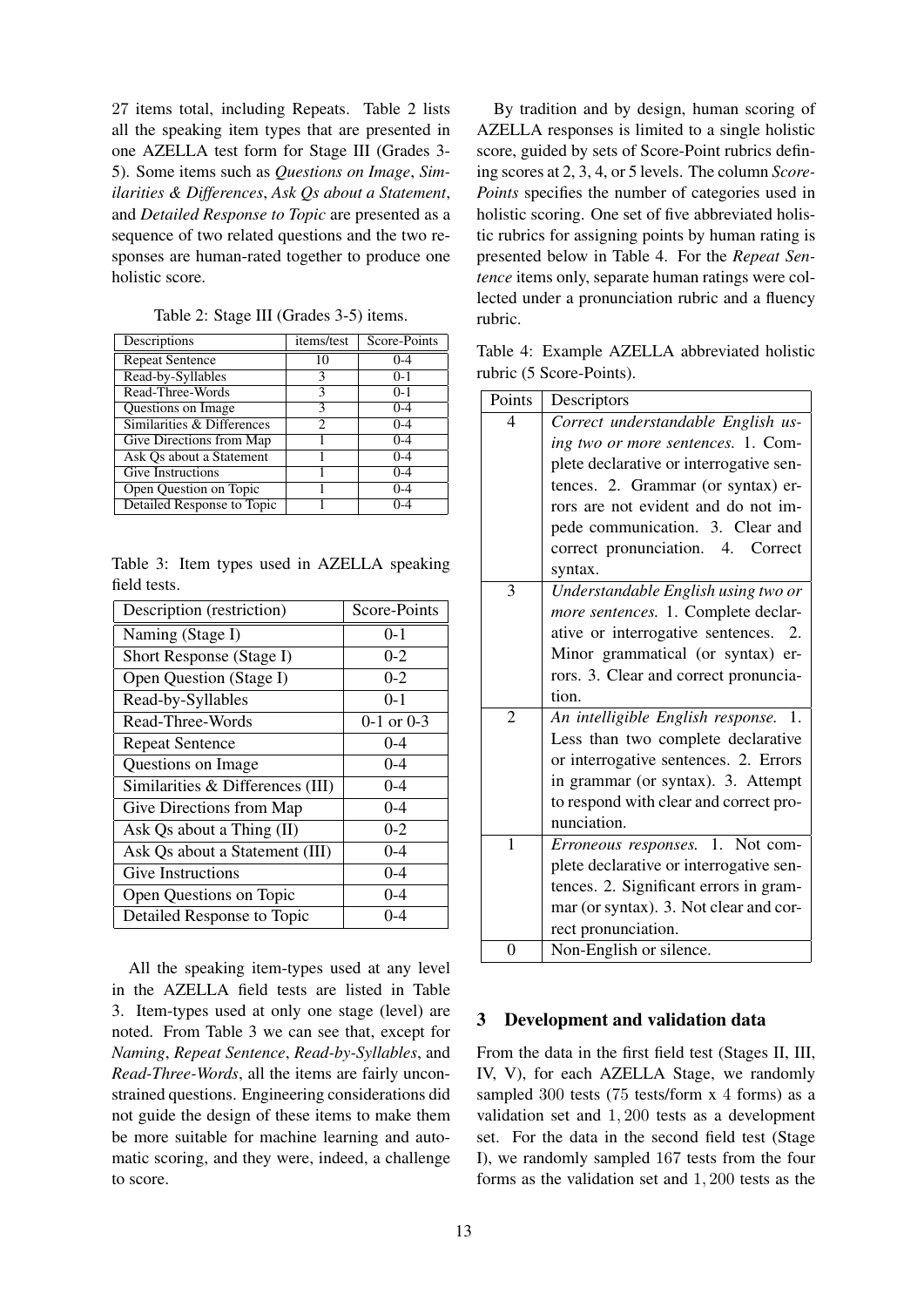27 items total, including Repeats. Table 2 lists all the speaking item types that are presented in one AZELLA test form for Stage III (Grades 3- 5). Some items such as *Questions on Image*, *Similarities & Differences*, *Ask Qs about a Statement*, and *Detailed Response to Topic* are presented as a sequence of two related questions and the two responses are human-rated together to produce one holistic score.

| Descriptions               | items/test     | Score-Points |
|----------------------------|----------------|--------------|
| <b>Repeat Sentence</b>     | 10             | $0 - 4$      |
| Read-by-Syllables          | 3              | $0-1$        |
| Read-Three-Words           | 3              | $0-1$        |
| <b>Ouestions on Image</b>  | 3              | $0 - 4$      |
| Similarities & Differences | $\mathfrak{D}$ | $0 - 4$      |
| Give Directions from Map   |                | $0 - 4$      |
| Ask Qs about a Statement   |                | $0 - 4$      |
| Give Instructions          |                | $0 - 4$      |
| Open Question on Topic     |                | $0 - 4$      |
| Detailed Response to Topic |                | $(1 - 4)$    |

Table 2: Stage III (Grades 3-5) items.

|              |  |  | Table 3: Item types used in AZELLA speaking |  |
|--------------|--|--|---------------------------------------------|--|
| field tests. |  |  |                                             |  |

| Description (restriction)        | Score-Points   |
|----------------------------------|----------------|
| Naming (Stage I)                 | $0-1$          |
| Short Response (Stage I)         | $0 - 2$        |
| Open Question (Stage I)          | $0 - 2$        |
| Read-by-Syllables                | $0 - 1$        |
| Read-Three-Words                 | $0-1$ or $0-3$ |
| <b>Repeat Sentence</b>           | $0 - 4$        |
| Questions on Image               | $0 - 4$        |
| Similarities & Differences (III) | $0 - 4$        |
| Give Directions from Map         | $0 - 4$        |
| Ask Qs about a Thing (II)        | $0 - 2$        |
| Ask Qs about a Statement (III)   | $0 - 4$        |
| <b>Give Instructions</b>         | $0 - 4$        |
| Open Questions on Topic          | $0 - 4$        |
| Detailed Response to Topic       | 0-4            |

All the speaking item-types used at any level in the AZELLA field tests are listed in Table 3. Item-types used at only one stage (level) are noted. From Table 3 we can see that, except for *Naming*, *Repeat Sentence*, *Read-by-Syllables*, and *Read-Three-Words*, all the items are fairly unconstrained questions. Engineering considerations did not guide the design of these items to make them be more suitable for machine learning and automatic scoring, and they were, indeed, a challenge to score.

By tradition and by design, human scoring of AZELLA responses is limited to a single holistic score, guided by sets of Score-Point rubrics defining scores at 2, 3, 4, or 5 levels. The column *Score-Points* specifies the number of categories used in holistic scoring. One set of five abbreviated holistic rubrics for assigning points by human rating is presented below in Table 4. For the *Repeat Sentence* items only, separate human ratings were collected under a pronunciation rubric and a fluency rubric.

Table 4: Example AZELLA abbreviated holistic rubric (5 Score-Points).

| Points         | Descriptors                             |  |  |  |  |
|----------------|-----------------------------------------|--|--|--|--|
| 4              | Correct understandable English us-      |  |  |  |  |
|                | ing two or more sentences. 1. Com-      |  |  |  |  |
|                | plete declarative or interrogative sen- |  |  |  |  |
|                | tences. 2. Grammar (or syntax) er-      |  |  |  |  |
|                | rors are not evident and do not im-     |  |  |  |  |
|                | pede communication. 3. Clear and        |  |  |  |  |
|                | correct pronunciation.<br>4. Correct    |  |  |  |  |
|                | syntax.                                 |  |  |  |  |
| 3              | Understandable English using two or     |  |  |  |  |
|                | more sentences. 1. Complete declar-     |  |  |  |  |
|                | ative or interrogative sentences. 2.    |  |  |  |  |
|                | Minor grammatical (or syntax) er-       |  |  |  |  |
|                | rors. 3. Clear and correct pronuncia-   |  |  |  |  |
|                | tion.                                   |  |  |  |  |
| $\overline{2}$ | An intelligible English response.<br>1. |  |  |  |  |
|                | Less than two complete declarative      |  |  |  |  |
|                | or interrogative sentences. 2. Errors   |  |  |  |  |
|                | in grammar (or syntax). 3. Attempt      |  |  |  |  |
|                | to respond with clear and correct pro-  |  |  |  |  |
|                | nunciation.                             |  |  |  |  |
| $\mathbf{1}$   | Erroneous responses. 1. Not com-        |  |  |  |  |
|                | plete declarative or interrogative sen- |  |  |  |  |
|                | tences. 2. Significant errors in gram-  |  |  |  |  |
|                | mar (or syntax). 3. Not clear and cor-  |  |  |  |  |
|                | rect pronunciation.                     |  |  |  |  |
| $\theta$       | Non-English or silence.                 |  |  |  |  |

# 3 Development and validation data

From the data in the first field test (Stages II, III, IV, V), for each AZELLA Stage, we randomly sampled 300 tests (75 tests/form x 4 forms) as a validation set and 1, 200 tests as a development set. For the data in the second field test (Stage I), we randomly sampled 167 tests from the four forms as the validation set and 1, 200 tests as the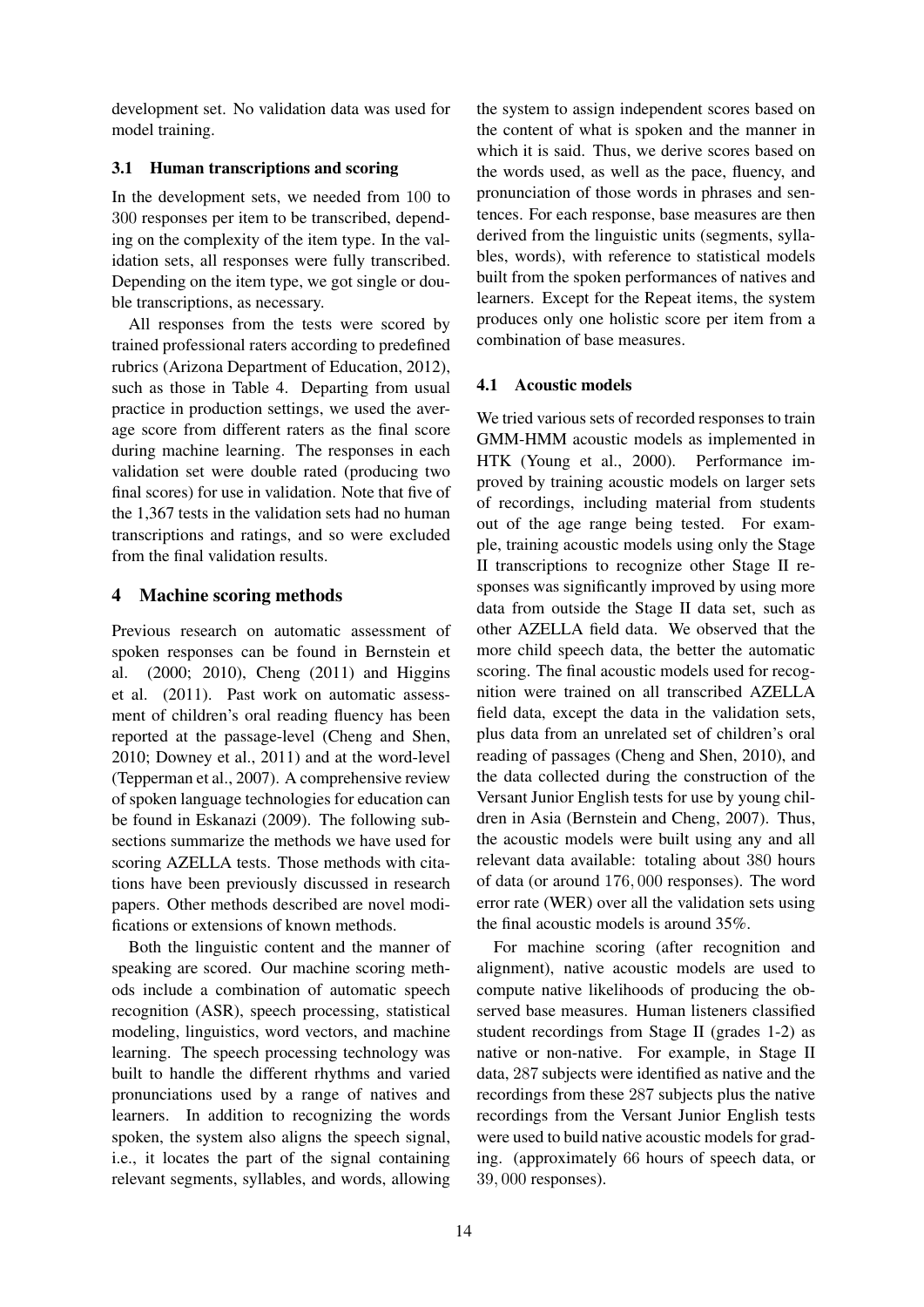development set. No validation data was used for model training.

# 3.1 Human transcriptions and scoring

In the development sets, we needed from 100 to 300 responses per item to be transcribed, depending on the complexity of the item type. In the validation sets, all responses were fully transcribed. Depending on the item type, we got single or double transcriptions, as necessary.

All responses from the tests were scored by trained professional raters according to predefined rubrics (Arizona Department of Education, 2012), such as those in Table 4. Departing from usual practice in production settings, we used the average score from different raters as the final score during machine learning. The responses in each validation set were double rated (producing two final scores) for use in validation. Note that five of the 1,367 tests in the validation sets had no human transcriptions and ratings, and so were excluded from the final validation results.

# 4 Machine scoring methods

Previous research on automatic assessment of spoken responses can be found in Bernstein et al. (2000; 2010), Cheng (2011) and Higgins et al. (2011). Past work on automatic assessment of children's oral reading fluency has been reported at the passage-level (Cheng and Shen, 2010; Downey et al., 2011) and at the word-level (Tepperman et al., 2007). A comprehensive review of spoken language technologies for education can be found in Eskanazi (2009). The following subsections summarize the methods we have used for scoring AZELLA tests. Those methods with citations have been previously discussed in research papers. Other methods described are novel modifications or extensions of known methods.

Both the linguistic content and the manner of speaking are scored. Our machine scoring methods include a combination of automatic speech recognition (ASR), speech processing, statistical modeling, linguistics, word vectors, and machine learning. The speech processing technology was built to handle the different rhythms and varied pronunciations used by a range of natives and learners. In addition to recognizing the words spoken, the system also aligns the speech signal, i.e., it locates the part of the signal containing relevant segments, syllables, and words, allowing

the system to assign independent scores based on the content of what is spoken and the manner in which it is said. Thus, we derive scores based on the words used, as well as the pace, fluency, and pronunciation of those words in phrases and sentences. For each response, base measures are then derived from the linguistic units (segments, syllables, words), with reference to statistical models built from the spoken performances of natives and learners. Except for the Repeat items, the system produces only one holistic score per item from a combination of base measures.

# 4.1 Acoustic models

We tried various sets of recorded responses to train GMM-HMM acoustic models as implemented in HTK (Young et al., 2000). Performance improved by training acoustic models on larger sets of recordings, including material from students out of the age range being tested. For example, training acoustic models using only the Stage II transcriptions to recognize other Stage II responses was significantly improved by using more data from outside the Stage II data set, such as other AZELLA field data. We observed that the more child speech data, the better the automatic scoring. The final acoustic models used for recognition were trained on all transcribed AZELLA field data, except the data in the validation sets, plus data from an unrelated set of children's oral reading of passages (Cheng and Shen, 2010), and the data collected during the construction of the Versant Junior English tests for use by young children in Asia (Bernstein and Cheng, 2007). Thus, the acoustic models were built using any and all relevant data available: totaling about 380 hours of data (or around 176, 000 responses). The word error rate (WER) over all the validation sets using the final acoustic models is around 35%.

For machine scoring (after recognition and alignment), native acoustic models are used to compute native likelihoods of producing the observed base measures. Human listeners classified student recordings from Stage II (grades 1-2) as native or non-native. For example, in Stage II data, 287 subjects were identified as native and the recordings from these 287 subjects plus the native recordings from the Versant Junior English tests were used to build native acoustic models for grading. (approximately 66 hours of speech data, or 39, 000 responses).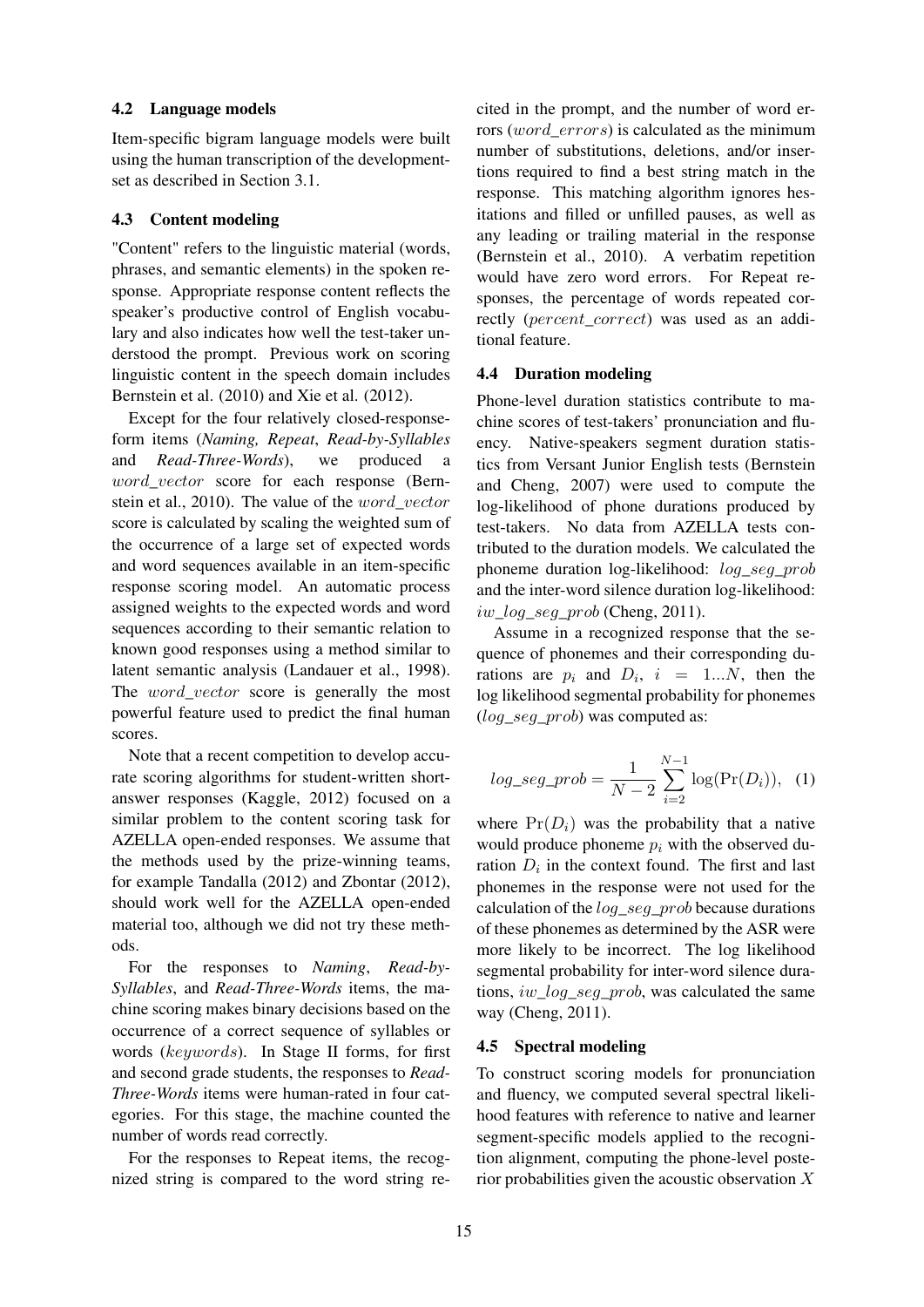## 4.2 Language models

Item-specific bigram language models were built using the human transcription of the developmentset as described in Section 3.1.

### 4.3 Content modeling

"Content" refers to the linguistic material (words, phrases, and semantic elements) in the spoken response. Appropriate response content reflects the speaker's productive control of English vocabulary and also indicates how well the test-taker understood the prompt. Previous work on scoring linguistic content in the speech domain includes Bernstein et al. (2010) and Xie et al. (2012).

Except for the four relatively closed-responseform items (*Naming, Repeat*, *Read-by-Syllables* and *Read-Three-Words*), we produced a word vector score for each response (Bernstein et al., 2010). The value of the word\_vector score is calculated by scaling the weighted sum of the occurrence of a large set of expected words and word sequences available in an item-specific response scoring model. An automatic process assigned weights to the expected words and word sequences according to their semantic relation to known good responses using a method similar to latent semantic analysis (Landauer et al., 1998). The *word* vector score is generally the most powerful feature used to predict the final human scores.

Note that a recent competition to develop accurate scoring algorithms for student-written shortanswer responses (Kaggle, 2012) focused on a similar problem to the content scoring task for AZELLA open-ended responses. We assume that the methods used by the prize-winning teams, for example Tandalla (2012) and Zbontar (2012), should work well for the AZELLA open-ended material too, although we did not try these methods.

For the responses to *Naming*, *Read-by-Syllables*, and *Read-Three-Words* items, the machine scoring makes binary decisions based on the occurrence of a correct sequence of syllables or words (keywords). In Stage II forms, for first and second grade students, the responses to *Read-Three-Words* items were human-rated in four categories. For this stage, the machine counted the number of words read correctly.

For the responses to Repeat items, the recognized string is compared to the word string recited in the prompt, and the number of word errors (*word\_errors*) is calculated as the minimum number of substitutions, deletions, and/or insertions required to find a best string match in the response. This matching algorithm ignores hesitations and filled or unfilled pauses, as well as any leading or trailing material in the response (Bernstein et al., 2010). A verbatim repetition would have zero word errors. For Repeat responses, the percentage of words repeated correctly (percent\_correct) was used as an additional feature.

#### 4.4 Duration modeling

Phone-level duration statistics contribute to machine scores of test-takers' pronunciation and fluency. Native-speakers segment duration statistics from Versant Junior English tests (Bernstein and Cheng, 2007) were used to compute the log-likelihood of phone durations produced by test-takers. No data from AZELLA tests contributed to the duration models. We calculated the phoneme duration log-likelihood: log\_seg\_prob and the inter-word silence duration log-likelihood:  $iw\_log\_seg\_prob$  (Cheng, 2011).

Assume in a recognized response that the sequence of phonemes and their corresponding durations are  $p_i$  and  $D_i$ ,  $i = 1...N$ , then the log likelihood segmental probability for phonemes (log\_seg\_prob) was computed as:

$$
log\_seg\_prob = \frac{1}{N-2} \sum_{i=2}^{N-1} \log(\Pr(D_i)),
$$
 (1)

where  $Pr(D_i)$  was the probability that a native would produce phoneme  $p_i$  with the observed duration  $D_i$  in the context found. The first and last phonemes in the response were not used for the calculation of the log\_seg\_prob because durations of these phonemes as determined by the ASR were more likely to be incorrect. The log likelihood segmental probability for inter-word silence durations, iw\_log\_seg\_prob, was calculated the same way (Cheng, 2011).

## 4.5 Spectral modeling

To construct scoring models for pronunciation and fluency, we computed several spectral likelihood features with reference to native and learner segment-specific models applied to the recognition alignment, computing the phone-level posterior probabilities given the acoustic observation  $X$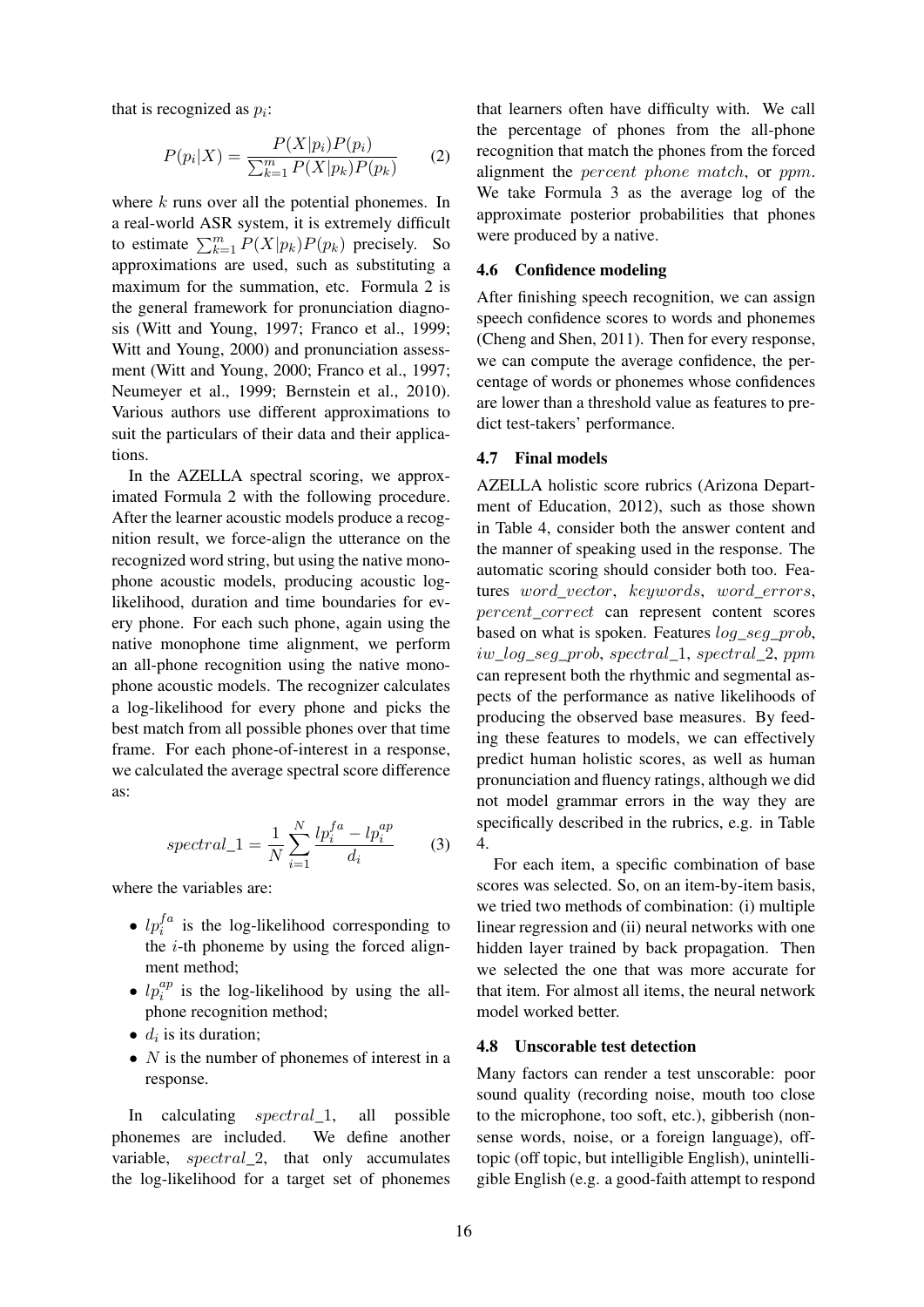that is recognized as  $p_i$ :

$$
P(p_i|X) = \frac{P(X|p_i)P(p_i)}{\sum_{k=1}^{m} P(X|p_k)P(p_k)}
$$
 (2)

where  $k$  runs over all the potential phonemes. In a real-world ASR system, it is extremely difficult to estimate  $\sum_{k=1}^{m} P(X|p_k)P(p_k)$  precisely. So approximations are used, such as substituting a maximum for the summation, etc. Formula 2 is the general framework for pronunciation diagnosis (Witt and Young, 1997; Franco et al., 1999; Witt and Young, 2000) and pronunciation assessment (Witt and Young, 2000; Franco et al., 1997; Neumeyer et al., 1999; Bernstein et al., 2010). Various authors use different approximations to suit the particulars of their data and their applications.

In the AZELLA spectral scoring, we approximated Formula 2 with the following procedure. After the learner acoustic models produce a recognition result, we force-align the utterance on the recognized word string, but using the native monophone acoustic models, producing acoustic loglikelihood, duration and time boundaries for every phone. For each such phone, again using the native monophone time alignment, we perform an all-phone recognition using the native monophone acoustic models. The recognizer calculates a log-likelihood for every phone and picks the best match from all possible phones over that time frame. For each phone-of-interest in a response, we calculated the average spectral score difference as:

$$
spectral\_1 = \frac{1}{N} \sum_{i=1}^{N} \frac{lp_i^{fa} - lp_i^{ap}}{d_i} \tag{3}
$$

where the variables are:

- $lp_i^{fa}$  is the log-likelihood corresponding to the  $i$ -th phoneme by using the forced alignment method;
- $lp_i^{ap}$  is the log-likelihood by using the allphone recognition method;
- $d_i$  is its duration;
- $N$  is the number of phonemes of interest in a response.

In calculating spectral\_1, all possible phonemes are included. We define another variable, spectral\_2, that only accumulates the log-likelihood for a target set of phonemes

that learners often have difficulty with. We call the percentage of phones from the all-phone recognition that match the phones from the forced alignment the percent phone match, or ppm. We take Formula 3 as the average log of the approximate posterior probabilities that phones were produced by a native.

## 4.6 Confidence modeling

After finishing speech recognition, we can assign speech confidence scores to words and phonemes (Cheng and Shen, 2011). Then for every response, we can compute the average confidence, the percentage of words or phonemes whose confidences are lower than a threshold value as features to predict test-takers' performance.

#### 4.7 Final models

AZELLA holistic score rubrics (Arizona Department of Education, 2012), such as those shown in Table 4, consider both the answer content and the manner of speaking used in the response. The automatic scoring should consider both too. Features word vector, keywords, word errors, percent\_correct can represent content scores based on what is spoken. Features  $log\_seg\_prob$ , iw\_log\_seg\_prob, spectral\_1, spectral\_2, ppm can represent both the rhythmic and segmental aspects of the performance as native likelihoods of producing the observed base measures. By feeding these features to models, we can effectively predict human holistic scores, as well as human pronunciation and fluency ratings, although we did not model grammar errors in the way they are specifically described in the rubrics, e.g. in Table 4.

For each item, a specific combination of base scores was selected. So, on an item-by-item basis, we tried two methods of combination: (i) multiple linear regression and (ii) neural networks with one hidden layer trained by back propagation. Then we selected the one that was more accurate for that item. For almost all items, the neural network model worked better.

### 4.8 Unscorable test detection

Many factors can render a test unscorable: poor sound quality (recording noise, mouth too close to the microphone, too soft, etc.), gibberish (nonsense words, noise, or a foreign language), offtopic (off topic, but intelligible English), unintelligible English (e.g. a good-faith attempt to respond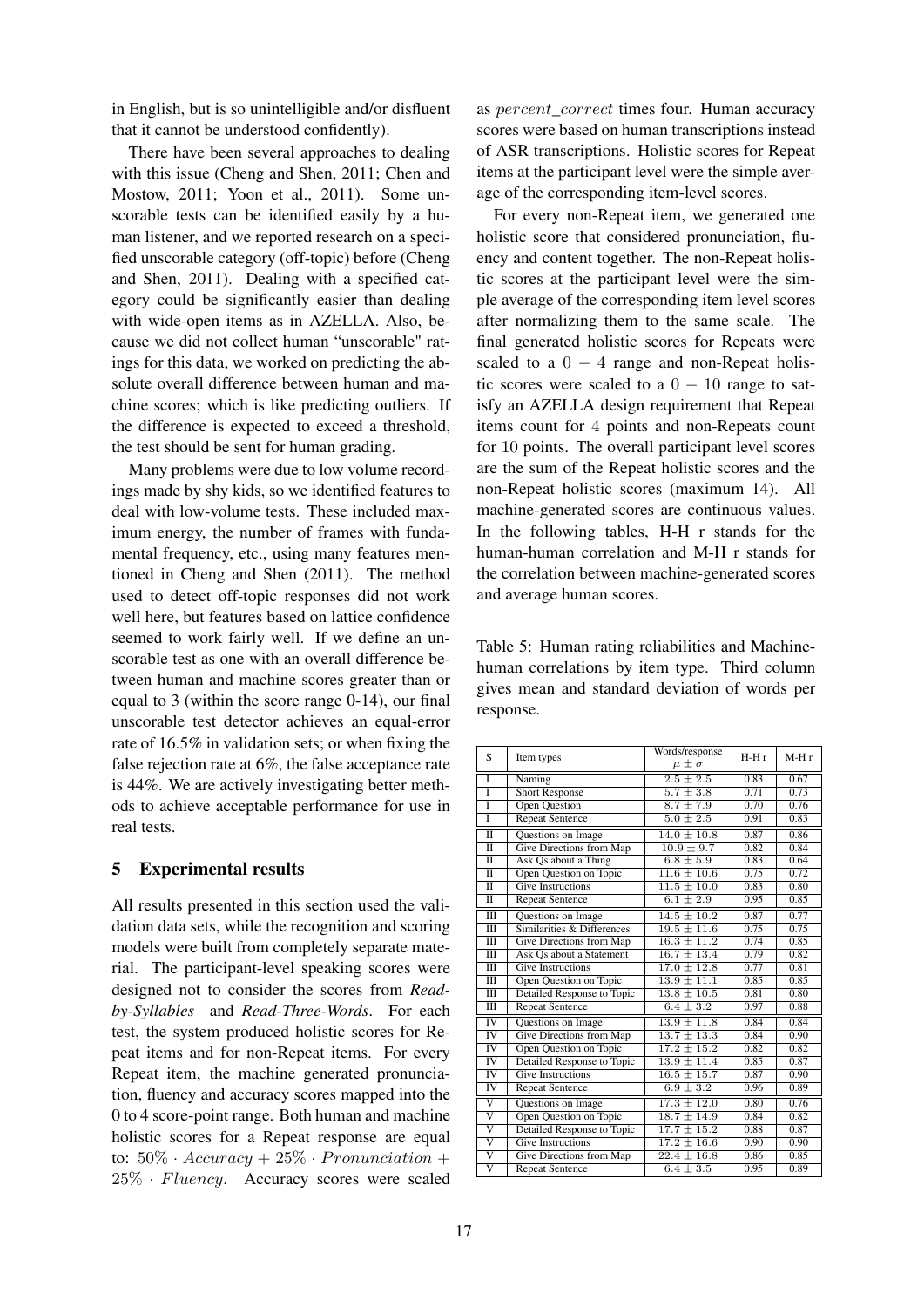in English, but is so unintelligible and/or disfluent that it cannot be understood confidently).

There have been several approaches to dealing with this issue (Cheng and Shen, 2011; Chen and Mostow, 2011; Yoon et al., 2011). Some unscorable tests can be identified easily by a human listener, and we reported research on a specified unscorable category (off-topic) before (Cheng and Shen, 2011). Dealing with a specified category could be significantly easier than dealing with wide-open items as in AZELLA. Also, because we did not collect human "unscorable" ratings for this data, we worked on predicting the absolute overall difference between human and machine scores; which is like predicting outliers. If the difference is expected to exceed a threshold, the test should be sent for human grading.

Many problems were due to low volume recordings made by shy kids, so we identified features to deal with low-volume tests. These included maximum energy, the number of frames with fundamental frequency, etc., using many features mentioned in Cheng and Shen (2011). The method used to detect off-topic responses did not work well here, but features based on lattice confidence seemed to work fairly well. If we define an unscorable test as one with an overall difference between human and machine scores greater than or equal to 3 (within the score range 0-14), our final unscorable test detector achieves an equal-error rate of 16.5% in validation sets; or when fixing the false rejection rate at 6%, the false acceptance rate is 44%. We are actively investigating better methods to achieve acceptable performance for use in real tests.

# 5 Experimental results

All results presented in this section used the validation data sets, while the recognition and scoring models were built from completely separate material. The participant-level speaking scores were designed not to consider the scores from *Readby-Syllables* and *Read-Three-Words*. For each test, the system produced holistic scores for Repeat items and for non-Repeat items. For every Repeat item, the machine generated pronunciation, fluency and accuracy scores mapped into the 0 to 4 score-point range. Both human and machine holistic scores for a Repeat response are equal to:  $50\% \cdot Accuracy + 25\% \cdot Pronunciation +$ 25% · Fluency. Accuracy scores were scaled

as *percent* correct times four. Human accuracy scores were based on human transcriptions instead of ASR transcriptions. Holistic scores for Repeat items at the participant level were the simple average of the corresponding item-level scores.

For every non-Repeat item, we generated one holistic score that considered pronunciation, fluency and content together. The non-Repeat holistic scores at the participant level were the simple average of the corresponding item level scores after normalizing them to the same scale. The final generated holistic scores for Repeats were scaled to a  $0 - 4$  range and non-Repeat holistic scores were scaled to a  $0 - 10$  range to satisfy an AZELLA design requirement that Repeat items count for 4 points and non-Repeats count for 10 points. The overall participant level scores are the sum of the Repeat holistic scores and the non-Repeat holistic scores (maximum 14). All machine-generated scores are continuous values. In the following tables, H-H r stands for the human-human correlation and M-H r stands for the correlation between machine-generated scores and average human scores.

Table 5: Human rating reliabilities and Machinehuman correlations by item type. Third column gives mean and standard deviation of words per response.

| S                       | Item types                 | Words/response   | H-H <sub>r</sub> | M-H <sub>r</sub> |
|-------------------------|----------------------------|------------------|------------------|------------------|
|                         |                            | $\mu \pm \sigma$ |                  |                  |
| T                       | Naming                     | $2.5 \pm 2.5$    | 0.83             | 0.67             |
| T                       | <b>Short Response</b>      | $5.7 \pm 3.8$    | 0.71             | 0.73             |
| T                       | <b>Open Question</b>       | $8.7 \pm 7.9$    | 0.70             | 0.76             |
| Ī                       | <b>Repeat Sentence</b>     | $5.0 \pm 2.5$    | 0.91             | 0.83             |
| $\overline{\mathbf{H}}$ | Questions on Image         | $14.0 \pm 10.8$  | 0.87             | 0.86             |
| $\mathbf{I}$            | Give Directions from Map   | $10.9 \pm 9.7$   | 0.82             | 0.84             |
| $\overline{\rm{II}}$    | Ask Qs about a Thing       | $6.8 \pm 5.9$    | 0.83             | 0.64             |
| $\mathbf{I}$            | Open Question on Topic     | $11.6 \pm 10.6$  | 0.75             | 0.72             |
| $\overline{\mathbf{u}}$ | <b>Give Instructions</b>   | $11.5 \pm 10.0$  | 0.83             | 0.80             |
| $\overline{\mathbf{u}}$ | <b>Repeat Sentence</b>     | $6.1 \pm 2.9$    | 0.95             | 0.85             |
| Ш                       | Questions on Image         | $14.5 \pm 10.2$  | 0.87             | 0.77             |
| $\overline{III}$        | Similarities & Differences | $19.5 \pm 11.6$  | 0.75             | 0.75             |
| $\overline{III}$        | Give Directions from Map   | $16.3 \pm 11.2$  | 0.74             | 0.85             |
| Ш                       | Ask Os about a Statement   | $16.7 \pm 13.4$  | 0.79             | 0.82             |
| $\overline{III}$        | <b>Give Instructions</b>   | $17.0 \pm 12.8$  | 0.77             | 0.81             |
| $\overline{III}$        | Open Question on Topic     | $13.9 \pm 11.1$  | 0.85             | 0.85             |
| $\overline{\mathbf{H}}$ | Detailed Response to Topic | $13.8 \pm 10.5$  | 0.81             | 0.80             |
| $\overline{III}$        | <b>Repeat Sentence</b>     | $6.4 \pm 3.2$    | 0.97             | 0.88             |
| IV                      | Questions on Image         | $13.9 \pm 11.8$  | 0.84             | 0.84             |
| IV                      | Give Directions from Map   | $13.7 \pm 13.3$  | 0.84             | 0.90             |
| $\overline{\text{IV}}$  | Open Question on Topic     | $17.2 \pm 15.2$  | 0.82             | 0.82             |
| IV                      | Detailed Response to Topic | $13.9 \pm 11.4$  | 0.85             | 0.87             |
| <b>IV</b>               | <b>Give Instructions</b>   | $16.5 \pm 15.7$  | 0.87             | 0.90             |
| $\overline{\text{IV}}$  | <b>Repeat Sentence</b>     | $6.9 \pm 3.2$    | 0.96             | 0.89             |
| $\overline{\rm v}$      | Questions on Image         | $17.3 \pm 12.0$  | 0.80             | 0.76             |
| $\overline{\rm v}$      | Open Question on Topic     | $18.7 \pm 14.9$  | 0.84             | 0.82             |
| $\overline{\rm v}$      | Detailed Response to Topic | $17.7 \pm 15.2$  | 0.88             | 0.87             |
| $\overline{\rm v}$      | <b>Give Instructions</b>   | $17.2 \pm 16.6$  | 0.90             | 0.90             |
| $\overline{\rm v}$      | Give Directions from Map   | $22.4 \pm 16.8$  | 0.86             | 0.85             |
| $\overline{\rm v}$      | <b>Repeat Sentence</b>     | $6.4 \pm 3.5$    | 0.95             | 0.89             |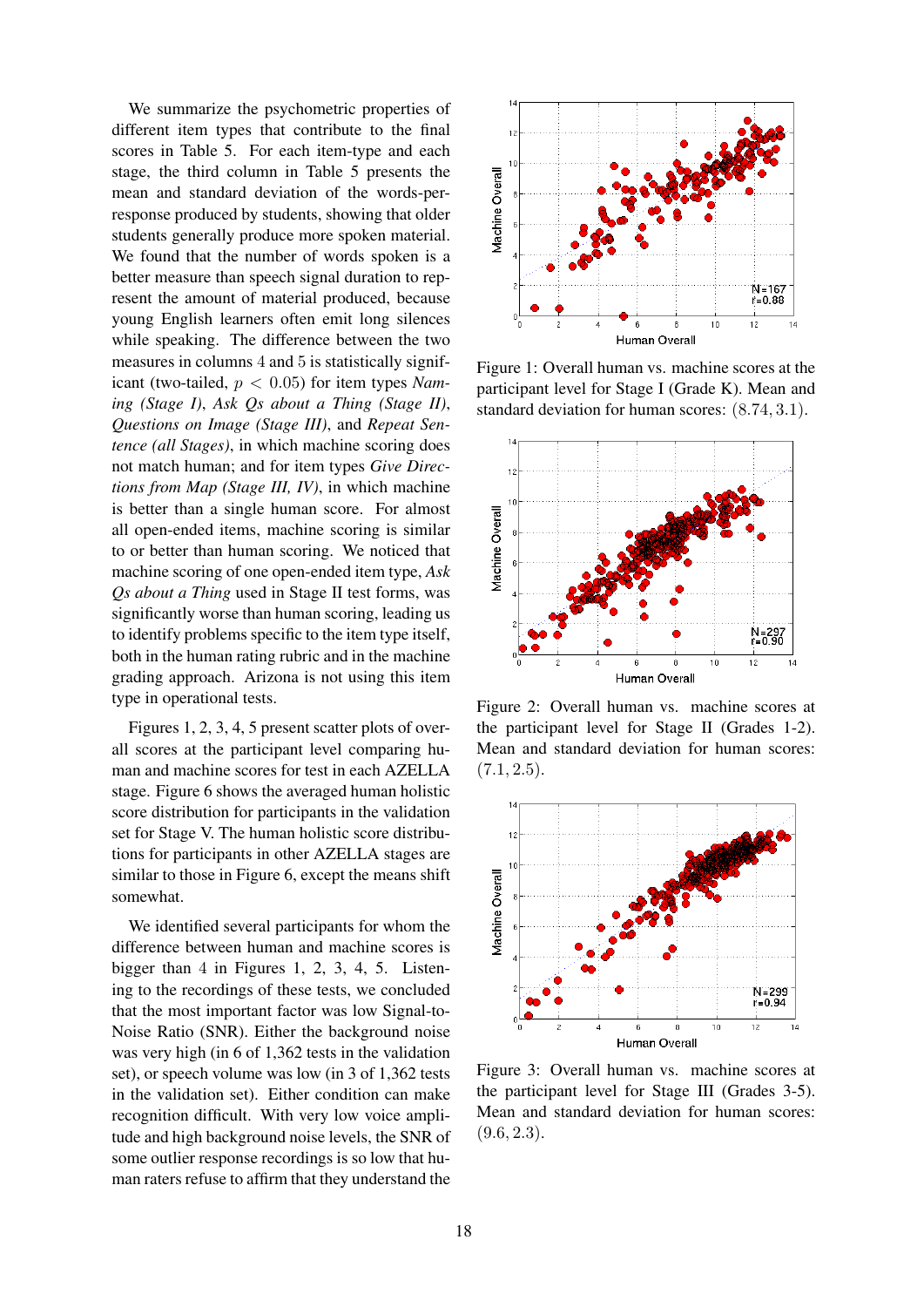We summarize the psychometric properties of different item types that contribute to the final scores in Table 5. For each item-type and each stage, the third column in Table 5 presents the mean and standard deviation of the words-perresponse produced by students, showing that older students generally produce more spoken material. We found that the number of words spoken is a better measure than speech signal duration to represent the amount of material produced, because young English learners often emit long silences while speaking. The difference between the two measures in columns 4 and 5 is statistically significant (two-tailed, p < 0.05) for item types *Naming (Stage I)*, *Ask Qs about a Thing (Stage II)*, *Questions on Image (Stage III)*, and *Repeat Sentence (all Stages)*, in which machine scoring does not match human; and for item types *Give Directions from Map (Stage III, IV)*, in which machine is better than a single human score. For almost all open-ended items, machine scoring is similar to or better than human scoring. We noticed that machine scoring of one open-ended item type, *Ask Qs about a Thing* used in Stage II test forms, was significantly worse than human scoring, leading us to identify problems specific to the item type itself, both in the human rating rubric and in the machine grading approach. Arizona is not using this item type in operational tests.

Figures 1, 2, 3, 4, 5 present scatter plots of overall scores at the participant level comparing human and machine scores for test in each AZELLA stage. Figure 6 shows the averaged human holistic score distribution for participants in the validation set for Stage V. The human holistic score distributions for participants in other AZELLA stages are similar to those in Figure 6, except the means shift somewhat.

We identified several participants for whom the difference between human and machine scores is bigger than 4 in Figures 1, 2, 3, 4, 5. Listening to the recordings of these tests, we concluded that the most important factor was low Signal-to-Noise Ratio (SNR). Either the background noise was very high (in 6 of 1,362 tests in the validation set), or speech volume was low (in 3 of 1,362 tests in the validation set). Either condition can make recognition difficult. With very low voice amplitude and high background noise levels, the SNR of some outlier response recordings is so low that human raters refuse to affirm that they understand the



Figure 1: Overall human vs. machine scores at the participant level for Stage I (Grade K). Mean and standard deviation for human scores: (8.74, 3.1).



Figure 2: Overall human vs. machine scores at the participant level for Stage II (Grades 1-2). Mean and standard deviation for human scores:  $(7.1, 2.5).$ 



Figure 3: Overall human vs. machine scores at the participant level for Stage III (Grades 3-5). Mean and standard deviation for human scores:  $(9.6, 2.3).$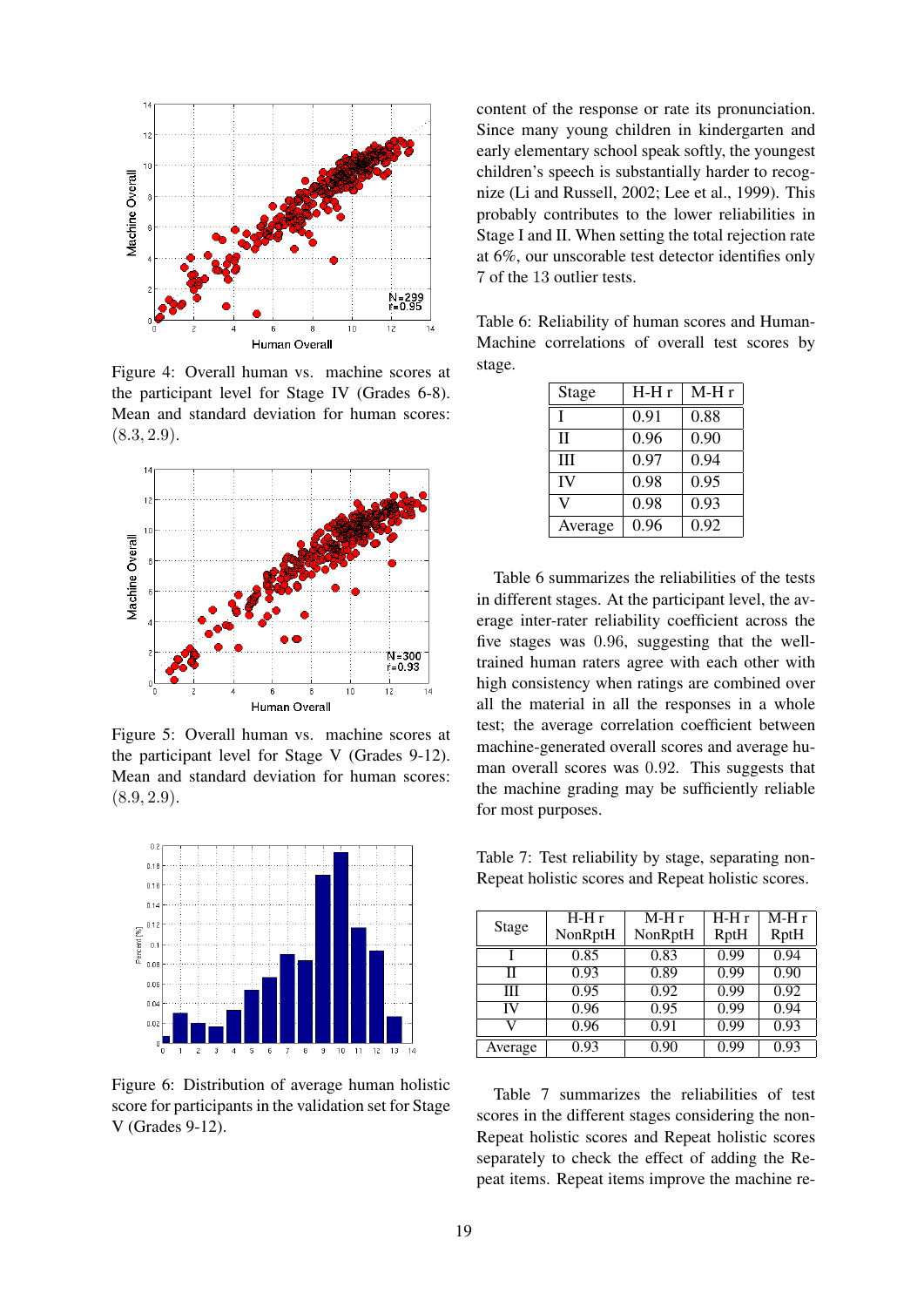

Figure 4: Overall human vs. machine scores at the participant level for Stage IV (Grades 6-8). Mean and standard deviation for human scores:  $(8.3, 2.9).$ 



Figure 5: Overall human vs. machine scores at the participant level for Stage V (Grades 9-12). Mean and standard deviation for human scores:  $(8.9, 2.9).$ 



Figure 6: Distribution of average human holistic score for participants in the validation set for Stage V (Grades 9-12).

content of the response or rate its pronunciation. Since many young children in kindergarten and early elementary school speak softly, the youngest children's speech is substantially harder to recognize (Li and Russell, 2002; Lee et al., 1999). This probably contributes to the lower reliabilities in Stage I and II. When setting the total rejection rate at 6%, our unscorable test detector identifies only 7 of the 13 outlier tests.

Table 6: Reliability of human scores and Human-Machine correlations of overall test scores by stage.

| <b>Stage</b> | H-H r | M-H r |
|--------------|-------|-------|
| T            | 0.91  | 0.88  |
| $_{\rm II}$  | 0.96  | 0.90  |
| Ш            | 0.97  | 0.94  |
| IV           | 0.98  | 0.95  |
| V)           | 0.98  | 0.93  |
| Average      | 0.96  | 0.92  |

Table 6 summarizes the reliabilities of the tests in different stages. At the participant level, the average inter-rater reliability coefficient across the five stages was 0.96, suggesting that the welltrained human raters agree with each other with high consistency when ratings are combined over all the material in all the responses in a whole test; the average correlation coefficient between machine-generated overall scores and average human overall scores was 0.92. This suggests that the machine grading may be sufficiently reliable for most purposes.

Table 7: Test reliability by stage, separating non-Repeat holistic scores and Repeat holistic scores.

| Stage   | $H-Hr$  | $M-Hr$  | $H-Hr$ | $M-Hr$ |
|---------|---------|---------|--------|--------|
|         | NonRptH | NonRptH | RptH   | RptH   |
|         | 0.85    | 0.83    | 0.99   | 0.94   |
| Н       | 0.93    | 0.89    | 0.99   | 0.90   |
| Ш       | 0.95    | 0.92    | 0.99   | 0.92   |
| IV      | 0.96    | 0.95    | 0.99   | 0.94   |
| v       | 0.96    | 0.91    | 0.99   | 0.93   |
| Average | 0.93    | 0.90    | 0.99   | 0.93   |

Table 7 summarizes the reliabilities of test scores in the different stages considering the non-Repeat holistic scores and Repeat holistic scores separately to check the effect of adding the Repeat items. Repeat items improve the machine re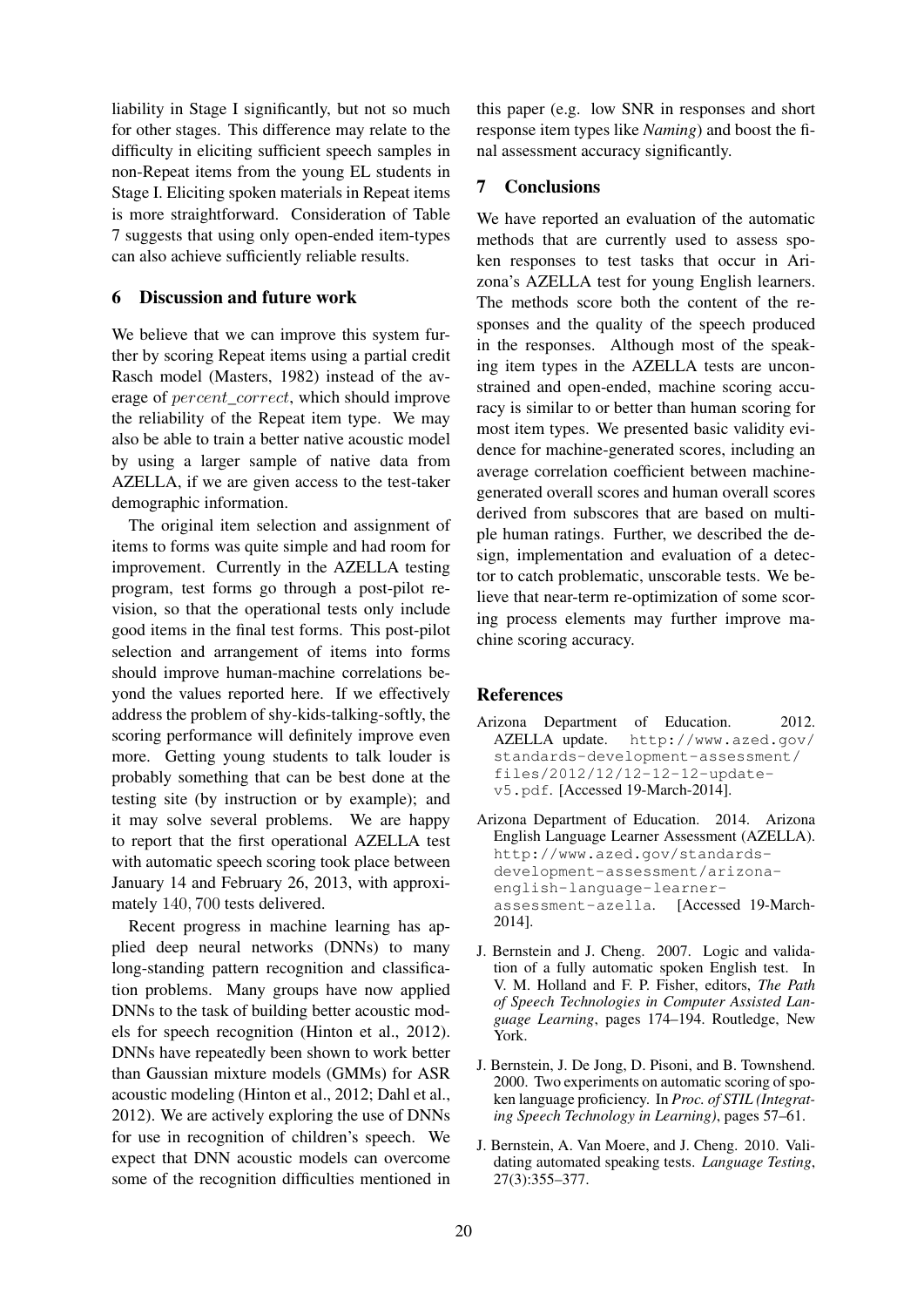liability in Stage I significantly, but not so much for other stages. This difference may relate to the difficulty in eliciting sufficient speech samples in non-Repeat items from the young EL students in Stage I. Eliciting spoken materials in Repeat items is more straightforward. Consideration of Table 7 suggests that using only open-ended item-types can also achieve sufficiently reliable results.

# 6 Discussion and future work

We believe that we can improve this system further by scoring Repeat items using a partial credit Rasch model (Masters, 1982) instead of the average of percent\_correct, which should improve the reliability of the Repeat item type. We may also be able to train a better native acoustic model by using a larger sample of native data from AZELLA, if we are given access to the test-taker demographic information.

The original item selection and assignment of items to forms was quite simple and had room for improvement. Currently in the AZELLA testing program, test forms go through a post-pilot revision, so that the operational tests only include good items in the final test forms. This post-pilot selection and arrangement of items into forms should improve human-machine correlations beyond the values reported here. If we effectively address the problem of shy-kids-talking-softly, the scoring performance will definitely improve even more. Getting young students to talk louder is probably something that can be best done at the testing site (by instruction or by example); and it may solve several problems. We are happy to report that the first operational AZELLA test with automatic speech scoring took place between January 14 and February 26, 2013, with approximately 140, 700 tests delivered.

Recent progress in machine learning has applied deep neural networks (DNNs) to many long-standing pattern recognition and classification problems. Many groups have now applied DNNs to the task of building better acoustic models for speech recognition (Hinton et al., 2012). DNNs have repeatedly been shown to work better than Gaussian mixture models (GMMs) for ASR acoustic modeling (Hinton et al., 2012; Dahl et al., 2012). We are actively exploring the use of DNNs for use in recognition of children's speech. We expect that DNN acoustic models can overcome some of the recognition difficulties mentioned in this paper (e.g. low SNR in responses and short response item types like *Naming*) and boost the final assessment accuracy significantly.

## 7 Conclusions

We have reported an evaluation of the automatic methods that are currently used to assess spoken responses to test tasks that occur in Arizona's AZELLA test for young English learners. The methods score both the content of the responses and the quality of the speech produced in the responses. Although most of the speaking item types in the AZELLA tests are unconstrained and open-ended, machine scoring accuracy is similar to or better than human scoring for most item types. We presented basic validity evidence for machine-generated scores, including an average correlation coefficient between machinegenerated overall scores and human overall scores derived from subscores that are based on multiple human ratings. Further, we described the design, implementation and evaluation of a detector to catch problematic, unscorable tests. We believe that near-term re-optimization of some scoring process elements may further improve machine scoring accuracy.

### **References**

- Arizona Department of Education. 2012. AZELLA update. http://www.azed.gov/ standards-development-assessment/ files/2012/12/12-12-12-updatev5.pdf. [Accessed 19-March-2014].
- Arizona Department of Education. 2014. Arizona English Language Learner Assessment (AZELLA). http://www.azed.gov/standardsdevelopment-assessment/arizonaenglish-language-learnerassessment-azella. [Accessed 19-March-2014].
- J. Bernstein and J. Cheng. 2007. Logic and validation of a fully automatic spoken English test. In V. M. Holland and F. P. Fisher, editors, *The Path of Speech Technologies in Computer Assisted Language Learning*, pages 174–194. Routledge, New York.
- J. Bernstein, J. De Jong, D. Pisoni, and B. Townshend. 2000. Two experiments on automatic scoring of spoken language proficiency. In *Proc. of STIL (Integrating Speech Technology in Learning)*, pages 57–61.
- J. Bernstein, A. Van Moere, and J. Cheng. 2010. Validating automated speaking tests. *Language Testing*, 27(3):355–377.